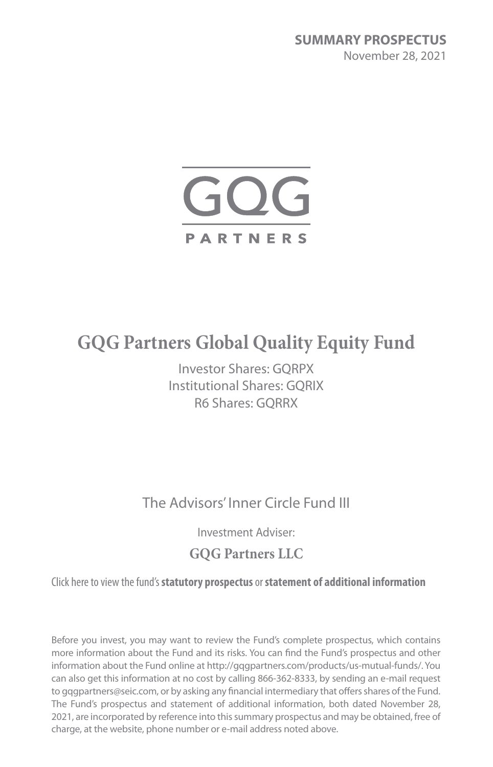

# **GQG Partners Global Quality Equity Fund**

Investor Shares: GQRPX Institutional Shares: GQRIX R6 Shares: GQRRX

The Advisors' Inner Circle Fund III

Investment Adviser:

## **GQG Partners LLC**

Click here to view the fund's **[statutory prospectus](http://[url])** or **[statement of additional information](http://[url])**

Before you invest, you may want to review the Fund's complete prospectus, which contains more information about the Fund and its risks. You can find the Fund's prospectus and other information about the Fund online at http://gqgpartners.com/products/us-mutual-funds/. You can also get this information at no cost by calling 866-362-8333, by sending an e-mail request to gqgpartners@seic.com, or by asking any financial intermediary that offers shares of the Fund. The Fund's prospectus and statement of additional information, both dated November 28, 2021, are incorporated by reference into this summary prospectus and may be obtained, free of charge, at the website, phone number or e-mail address noted above.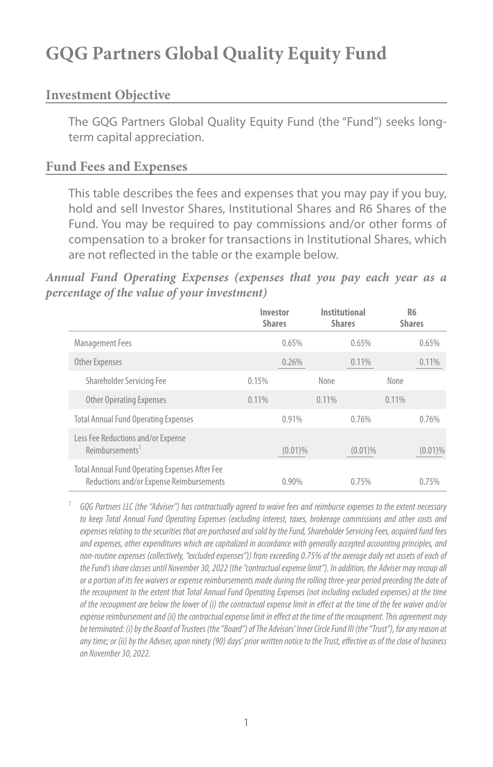## **GQG Partners Global Quality Equity Fund**

#### **Investment Objective**

The GQG Partners Global Quality Equity Fund (the "Fund") seeks longterm capital appreciation.

#### **Fund Fees and Expenses**

This table describes the fees and expenses that you may pay if you buy, hold and sell Investor Shares, Institutional Shares and R6 Shares of the Fund. You may be required to pay commissions and/or other forms of compensation to a broker for transactions in Institutional Shares, which are not reflected in the table or the example below.

#### *Annual Fund Operating Expenses (expenses that you pay each year as a percentage of the value of your investment)*

|                                                                                            | Investor<br><b>Shares</b> |            | Institutional<br><b>Shares</b> | R <sub>6</sub><br><b>Shares</b> |            |
|--------------------------------------------------------------------------------------------|---------------------------|------------|--------------------------------|---------------------------------|------------|
| <b>Management Fees</b>                                                                     |                           | 0.65%      | 0.65%                          |                                 | 0.65%      |
| <b>Other Expenses</b>                                                                      |                           | 0.26%      | 0.11%                          |                                 | 0.11%      |
| Shareholder Servicing Fee                                                                  | 0.15%                     |            | None                           | None                            |            |
| <b>Other Operating Expenses</b>                                                            | 0.11%                     |            | 0.11%                          | 0.11%                           |            |
| <b>Total Annual Fund Operating Expenses</b>                                                |                           | 0.91%      | 0.76%                          |                                 | 0.76%      |
| Less Fee Reductions and/or Expense<br>Reimbursements <sup>1</sup>                          |                           | $(0.01)\%$ | $(0.01)\%$                     |                                 | $(0.01)\%$ |
| Total Annual Fund Operating Expenses After Fee<br>Reductions and/or Expense Reimbursements |                           | $0.90\%$   | 0.75%                          |                                 | 0.75%      |

*<sup>1</sup> GQG Partners LLC (the "Adviser") has contractually agreed to waive fees and reimburse expenses to the extent necessary*  to keep Total Annual Fund Operating Expenses (excluding interest, taxes, brokerage commissions and other costs and *expenses relating to the securities that are purchased and sold by the Fund, Shareholder Servicing Fees, acquired fund fees and expenses, other expenditures which are capitalized in accordance with generally accepted accounting principles, and non-routine expenses (collectively, "excluded expenses")) from exceeding 0.75% of the average daily net assets of each of the Fund's share classes until November 30, 2022 (the "contractual expense limit"). In addition, the Adviser may recoup all or a portion of its fee waivers or expense reimbursements made during the rolling three-year period preceding the date of the recoupment to the extent that Total Annual Fund Operating Expenses (not including excluded expenses) at the time of the recoupment are below the lower of (i) the contractual expense limit in effect at the time of the fee waiver and/or expense reimbursement and (ii) the contractual expense limit in effect at the time of the recoupment. This agreement may be terminated: (i) by the Board of Trustees (the "Board") of The Advisors' Inner Circle Fund III (the "Trust"), for any reason at any time; or (ii) by the Adviser, upon ninety (90) days' prior written notice to the Trust, effective as of the close of business on November 30, 2022.*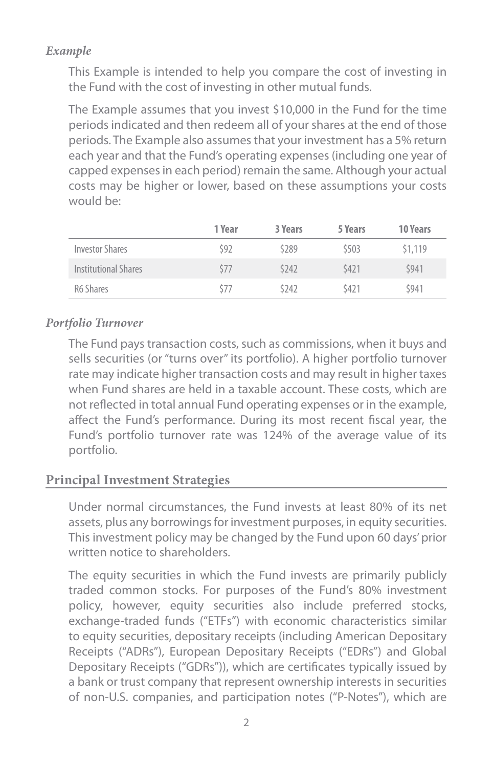#### *Example*

This Example is intended to help you compare the cost of investing in the Fund with the cost of investing in other mutual funds.

The Example assumes that you invest \$10,000 in the Fund for the time periods indicated and then redeem all of your shares at the end of those periods. The Example also assumes that your investment has a 5% return each year and that the Fund's operating expenses (including one year of capped expenses in each period) remain the same. Although your actual costs may be higher or lower, based on these assumptions your costs would be:

|                        | 1 Year | 3 Years | 5 Years | <b>10 Years</b> |
|------------------------|--------|---------|---------|-----------------|
| <b>Investor Shares</b> | \$92   | \$289   | \$503   | \$1,119         |
| Institutional Shares   | \$77   | \$242   | \$421   | \$941           |
| R6 Shares              | \$77   | \$242   | \$421   | \$941           |

#### *Portfolio Turnover*

The Fund pays transaction costs, such as commissions, when it buys and sells securities (or "turns over" its portfolio). A higher portfolio turnover rate may indicate higher transaction costs and may result in higher taxes when Fund shares are held in a taxable account. These costs, which are not reflected in total annual Fund operating expenses or in the example, affect the Fund's performance. During its most recent fiscal year, the Fund's portfolio turnover rate was 124% of the average value of its portfolio.

#### **Principal Investment Strategies**

Under normal circumstances, the Fund invests at least 80% of its net assets, plus any borrowings for investment purposes, in equity securities. This investment policy may be changed by the Fund upon 60 days' prior written notice to shareholders.

The equity securities in which the Fund invests are primarily publicly traded common stocks. For purposes of the Fund's 80% investment policy, however, equity securities also include preferred stocks, exchange-traded funds ("ETFs") with economic characteristics similar to equity securities, depositary receipts (including American Depositary Receipts ("ADRs"), European Depositary Receipts ("EDRs") and Global Depositary Receipts ("GDRs")), which are certificates typically issued by a bank or trust company that represent ownership interests in securities of non-U.S. companies, and participation notes ("P-Notes"), which are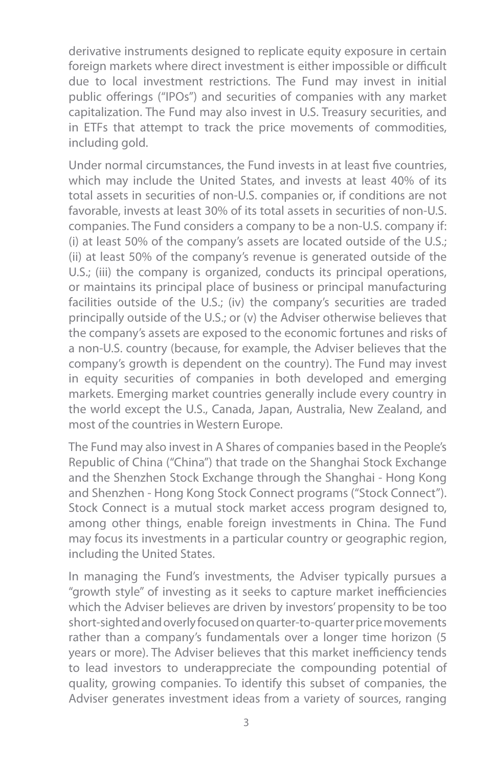derivative instruments designed to replicate equity exposure in certain foreign markets where direct investment is either impossible or difficult due to local investment restrictions. The Fund may invest in initial public offerings ("IPOs") and securities of companies with any market capitalization. The Fund may also invest in U.S. Treasury securities, and in ETFs that attempt to track the price movements of commodities, including gold.

Under normal circumstances, the Fund invests in at least five countries, which may include the United States, and invests at least 40% of its total assets in securities of non-U.S. companies or, if conditions are not favorable, invests at least 30% of its total assets in securities of non-U.S. companies. The Fund considers a company to be a non-U.S. company if: (i) at least 50% of the company's assets are located outside of the U.S.; (ii) at least 50% of the company's revenue is generated outside of the U.S.; (iii) the company is organized, conducts its principal operations, or maintains its principal place of business or principal manufacturing facilities outside of the U.S.; (iv) the company's securities are traded principally outside of the U.S.; or (v) the Adviser otherwise believes that the company's assets are exposed to the economic fortunes and risks of a non-U.S. country (because, for example, the Adviser believes that the company's growth is dependent on the country). The Fund may invest in equity securities of companies in both developed and emerging markets. Emerging market countries generally include every country in the world except the U.S., Canada, Japan, Australia, New Zealand, and most of the countries in Western Europe.

The Fund may also invest in A Shares of companies based in the People's Republic of China ("China") that trade on the Shanghai Stock Exchange and the Shenzhen Stock Exchange through the Shanghai - Hong Kong and Shenzhen - Hong Kong Stock Connect programs ("Stock Connect"). Stock Connect is a mutual stock market access program designed to, among other things, enable foreign investments in China. The Fund may focus its investments in a particular country or geographic region, including the United States.

In managing the Fund's investments, the Adviser typically pursues a "growth style" of investing as it seeks to capture market inefficiencies which the Adviser believes are driven by investors' propensity to be too short-sighted and overly focused on quarter-to-quarter price movements rather than a company's fundamentals over a longer time horizon (5 years or more). The Adviser believes that this market inefficiency tends to lead investors to underappreciate the compounding potential of quality, growing companies. To identify this subset of companies, the Adviser generates investment ideas from a variety of sources, ranging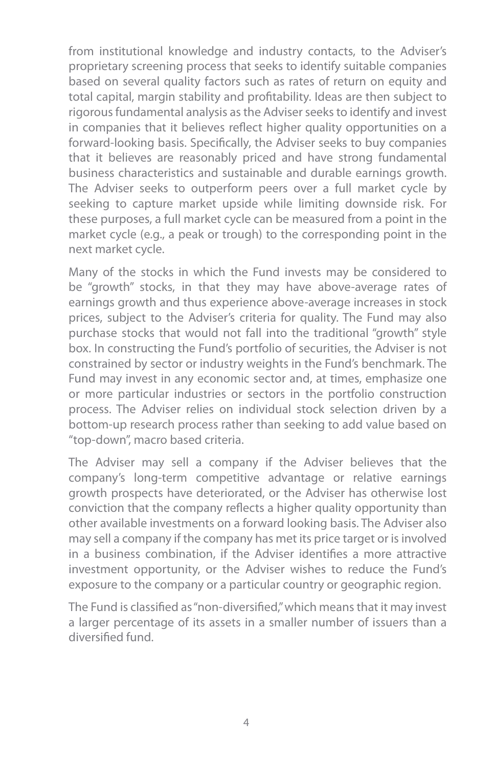from institutional knowledge and industry contacts, to the Adviser's proprietary screening process that seeks to identify suitable companies based on several quality factors such as rates of return on equity and total capital, margin stability and profitability. Ideas are then subject to rigorous fundamental analysis as the Adviser seeks to identify and invest in companies that it believes reflect higher quality opportunities on a forward-looking basis. Specifically, the Adviser seeks to buy companies that it believes are reasonably priced and have strong fundamental business characteristics and sustainable and durable earnings growth. The Adviser seeks to outperform peers over a full market cycle by seeking to capture market upside while limiting downside risk. For these purposes, a full market cycle can be measured from a point in the market cycle (e.g., a peak or trough) to the corresponding point in the next market cycle.

Many of the stocks in which the Fund invests may be considered to be "growth" stocks, in that they may have above-average rates of earnings growth and thus experience above-average increases in stock prices, subject to the Adviser's criteria for quality. The Fund may also purchase stocks that would not fall into the traditional "growth" style box. In constructing the Fund's portfolio of securities, the Adviser is not constrained by sector or industry weights in the Fund's benchmark. The Fund may invest in any economic sector and, at times, emphasize one or more particular industries or sectors in the portfolio construction process. The Adviser relies on individual stock selection driven by a bottom-up research process rather than seeking to add value based on "top-down", macro based criteria.

The Adviser may sell a company if the Adviser believes that the company's long-term competitive advantage or relative earnings growth prospects have deteriorated, or the Adviser has otherwise lost conviction that the company reflects a higher quality opportunity than other available investments on a forward looking basis. The Adviser also may sell a company if the company has met its price target or is involved in a business combination, if the Adviser identifies a more attractive investment opportunity, or the Adviser wishes to reduce the Fund's exposure to the company or a particular country or geographic region.

The Fund is classified as "non-diversified," which means that it may invest a larger percentage of its assets in a smaller number of issuers than a diversified fund.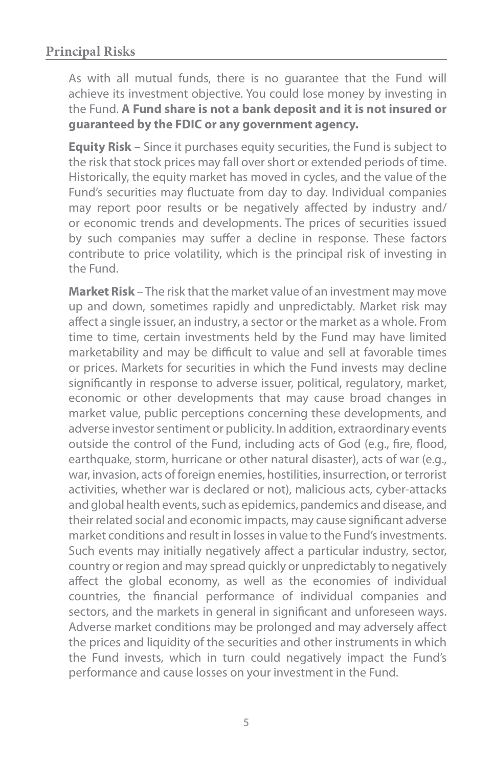#### **Principal Risks**

As with all mutual funds, there is no guarantee that the Fund will achieve its investment objective. You could lose money by investing in the Fund. **A Fund share is not a bank deposit and it is not insured or guaranteed by the FDIC or any government agency.**

**Equity Risk** – Since it purchases equity securities, the Fund is subject to the risk that stock prices may fall over short or extended periods of time. Historically, the equity market has moved in cycles, and the value of the Fund's securities may fluctuate from day to day. Individual companies may report poor results or be negatively affected by industry and/ or economic trends and developments. The prices of securities issued by such companies may suffer a decline in response. These factors contribute to price volatility, which is the principal risk of investing in the Fund.

**Market Risk** – The risk that the market value of an investment may move up and down, sometimes rapidly and unpredictably. Market risk may affect a single issuer, an industry, a sector or the market as a whole. From time to time, certain investments held by the Fund may have limited marketability and may be difficult to value and sell at favorable times or prices. Markets for securities in which the Fund invests may decline significantly in response to adverse issuer, political, regulatory, market, economic or other developments that may cause broad changes in market value, public perceptions concerning these developments, and adverse investor sentiment or publicity. In addition, extraordinary events outside the control of the Fund, including acts of God (e.g., fire, flood, earthquake, storm, hurricane or other natural disaster), acts of war (e.g., war, invasion, acts of foreign enemies, hostilities, insurrection, or terrorist activities, whether war is declared or not), malicious acts, cyber-attacks and global health events, such as epidemics, pandemics and disease, and their related social and economic impacts, may cause significant adverse market conditions and result in losses in value to the Fund's investments. Such events may initially negatively affect a particular industry, sector, country or region and may spread quickly or unpredictably to negatively affect the global economy, as well as the economies of individual countries, the financial performance of individual companies and sectors, and the markets in general in significant and unforeseen ways. Adverse market conditions may be prolonged and may adversely affect the prices and liquidity of the securities and other instruments in which the Fund invests, which in turn could negatively impact the Fund's performance and cause losses on your investment in the Fund.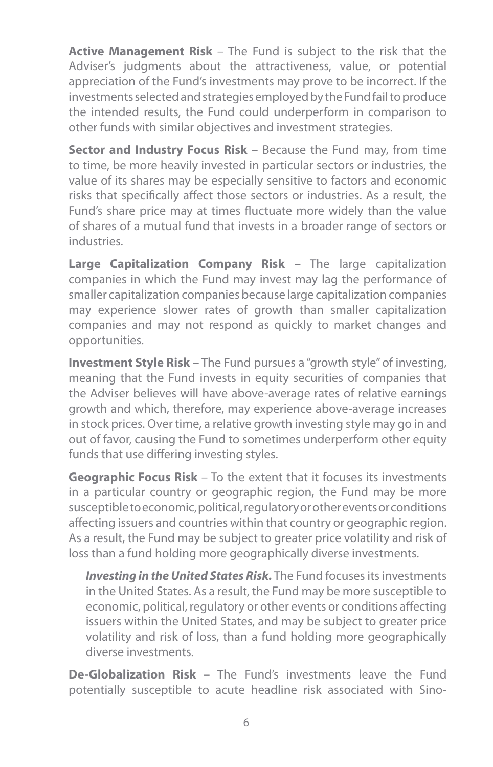**Active Management Risk** – The Fund is subject to the risk that the Adviser's judgments about the attractiveness, value, or potential appreciation of the Fund's investments may prove to be incorrect. If the investments selected and strategies employed by the Fund fail to produce the intended results, the Fund could underperform in comparison to other funds with similar objectives and investment strategies.

**Sector and Industry Focus Risk** – Because the Fund may, from time to time, be more heavily invested in particular sectors or industries, the value of its shares may be especially sensitive to factors and economic risks that specifically affect those sectors or industries. As a result, the Fund's share price may at times fluctuate more widely than the value of shares of a mutual fund that invests in a broader range of sectors or industries.

**Large Capitalization Company Risk** – The large capitalization companies in which the Fund may invest may lag the performance of smaller capitalization companies because large capitalization companies may experience slower rates of growth than smaller capitalization companies and may not respond as quickly to market changes and opportunities.

**Investment Style Risk** – The Fund pursues a "growth style" of investing, meaning that the Fund invests in equity securities of companies that the Adviser believes will have above-average rates of relative earnings growth and which, therefore, may experience above-average increases in stock prices. Over time, a relative growth investing style may go in and out of favor, causing the Fund to sometimes underperform other equity funds that use differing investing styles.

**Geographic Focus Risk** – To the extent that it focuses its investments in a particular country or geographic region, the Fund may be more susceptible to economic, political, regulatory or other events or conditions affecting issuers and countries within that country or geographic region. As a result, the Fund may be subject to greater price volatility and risk of loss than a fund holding more geographically diverse investments.

*Investing in the United States Risk.* The Fund focuses its investments in the United States. As a result, the Fund may be more susceptible to economic, political, regulatory or other events or conditions affecting issuers within the United States, and may be subject to greater price volatility and risk of loss, than a fund holding more geographically diverse investments.

**De-Globalization Risk –** The Fund's investments leave the Fund potentially susceptible to acute headline risk associated with Sino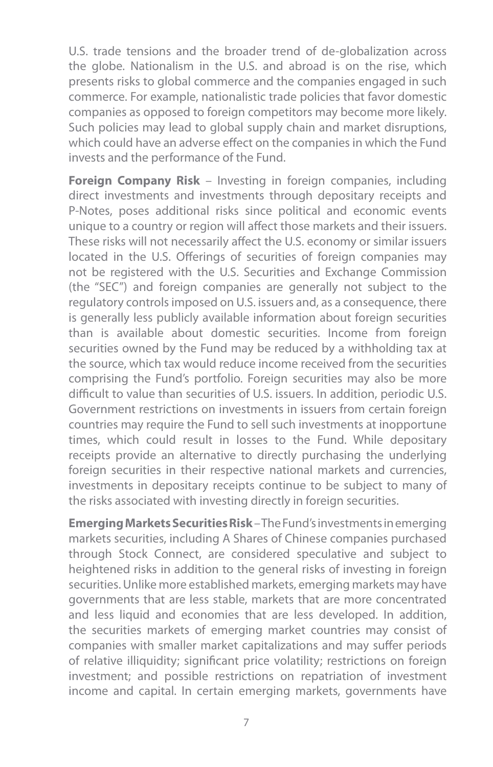U.S. trade tensions and the broader trend of de-globalization across the globe. Nationalism in the U.S. and abroad is on the rise, which presents risks to global commerce and the companies engaged in such commerce. For example, nationalistic trade policies that favor domestic companies as opposed to foreign competitors may become more likely. Such policies may lead to global supply chain and market disruptions, which could have an adverse effect on the companies in which the Fund invests and the performance of the Fund.

**Foreign Company Risk** – Investing in foreign companies, including direct investments and investments through depositary receipts and P-Notes, poses additional risks since political and economic events unique to a country or region will affect those markets and their issuers. These risks will not necessarily affect the U.S. economy or similar issuers located in the U.S. Offerings of securities of foreign companies may not be registered with the U.S. Securities and Exchange Commission (the "SEC") and foreign companies are generally not subject to the regulatory controls imposed on U.S. issuers and, as a consequence, there is generally less publicly available information about foreign securities than is available about domestic securities. Income from foreign securities owned by the Fund may be reduced by a withholding tax at the source, which tax would reduce income received from the securities comprising the Fund's portfolio. Foreign securities may also be more difficult to value than securities of U.S. issuers. In addition, periodic U.S. Government restrictions on investments in issuers from certain foreign countries may require the Fund to sell such investments at inopportune times, which could result in losses to the Fund. While depositary receipts provide an alternative to directly purchasing the underlying foreign securities in their respective national markets and currencies, investments in depositary receipts continue to be subject to many of the risks associated with investing directly in foreign securities.

**Emerging Markets Securities Risk** – The Fund's investments in emerging markets securities, including A Shares of Chinese companies purchased through Stock Connect, are considered speculative and subject to heightened risks in addition to the general risks of investing in foreign securities. Unlike more established markets, emerging markets may have governments that are less stable, markets that are more concentrated and less liquid and economies that are less developed. In addition, the securities markets of emerging market countries may consist of companies with smaller market capitalizations and may suffer periods of relative illiquidity; significant price volatility; restrictions on foreign investment; and possible restrictions on repatriation of investment income and capital. In certain emerging markets, governments have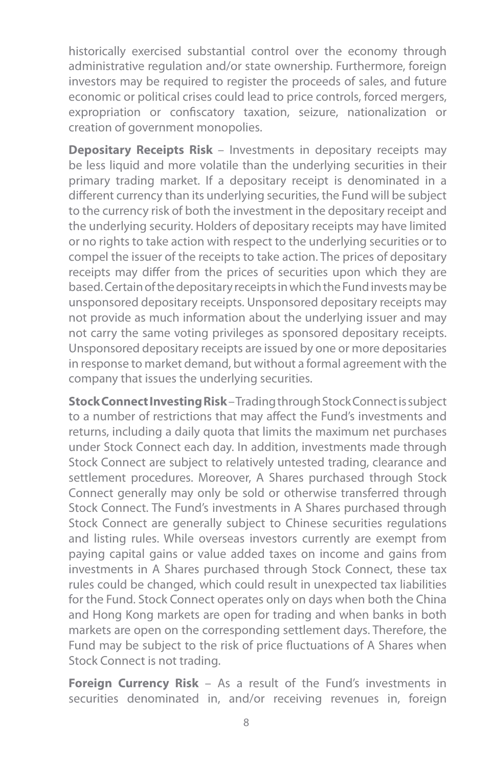historically exercised substantial control over the economy through administrative regulation and/or state ownership. Furthermore, foreign investors may be required to register the proceeds of sales, and future economic or political crises could lead to price controls, forced mergers, expropriation or confiscatory taxation, seizure, nationalization or creation of government monopolies.

**Depositary Receipts Risk** – Investments in depositary receipts may be less liquid and more volatile than the underlying securities in their primary trading market. If a depositary receipt is denominated in a different currency than its underlying securities, the Fund will be subject to the currency risk of both the investment in the depositary receipt and the underlying security. Holders of depositary receipts may have limited or no rights to take action with respect to the underlying securities or to compel the issuer of the receipts to take action. The prices of depositary receipts may differ from the prices of securities upon which they are based. Certain of the depositary receipts in which the Fund invests may be unsponsored depositary receipts. Unsponsored depositary receipts may not provide as much information about the underlying issuer and may not carry the same voting privileges as sponsored depositary receipts. Unsponsored depositary receipts are issued by one or more depositaries in response to market demand, but without a formal agreement with the company that issues the underlying securities.

**Stock Connect Investing Risk** – Trading through Stock Connect is subject to a number of restrictions that may affect the Fund's investments and returns, including a daily quota that limits the maximum net purchases under Stock Connect each day. In addition, investments made through Stock Connect are subject to relatively untested trading, clearance and settlement procedures. Moreover, A Shares purchased through Stock Connect generally may only be sold or otherwise transferred through Stock Connect. The Fund's investments in A Shares purchased through Stock Connect are generally subject to Chinese securities regulations and listing rules. While overseas investors currently are exempt from paying capital gains or value added taxes on income and gains from investments in A Shares purchased through Stock Connect, these tax rules could be changed, which could result in unexpected tax liabilities for the Fund. Stock Connect operates only on days when both the China and Hong Kong markets are open for trading and when banks in both markets are open on the corresponding settlement days. Therefore, the Fund may be subject to the risk of price fluctuations of A Shares when Stock Connect is not trading.

**Foreign Currency Risk** – As a result of the Fund's investments in securities denominated in, and/or receiving revenues in, foreign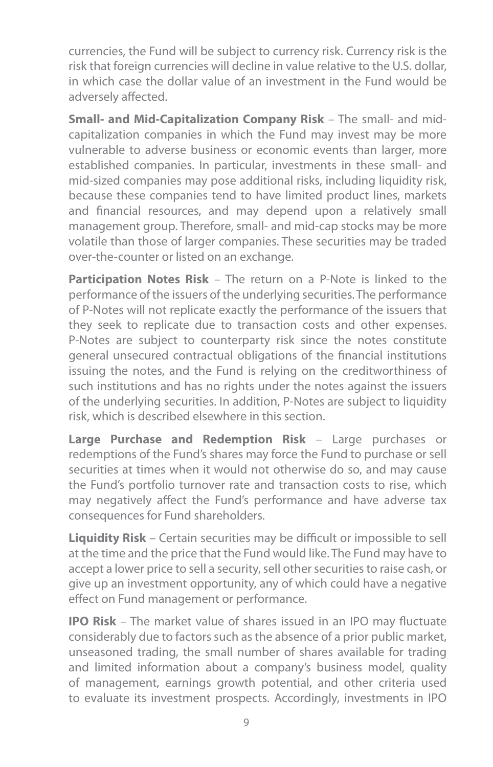currencies, the Fund will be subject to currency risk. Currency risk is the risk that foreign currencies will decline in value relative to the U.S. dollar, in which case the dollar value of an investment in the Fund would be adversely affected.

**Small- and Mid-Capitalization Company Risk** – The small- and midcapitalization companies in which the Fund may invest may be more vulnerable to adverse business or economic events than larger, more established companies. In particular, investments in these small- and mid-sized companies may pose additional risks, including liquidity risk, because these companies tend to have limited product lines, markets and financial resources, and may depend upon a relatively small management group. Therefore, small- and mid-cap stocks may be more volatile than those of larger companies. These securities may be traded over-the-counter or listed on an exchange.

**Participation Notes Risk** – The return on a P-Note is linked to the performance of the issuers of the underlying securities. The performance of P-Notes will not replicate exactly the performance of the issuers that they seek to replicate due to transaction costs and other expenses. P-Notes are subject to counterparty risk since the notes constitute general unsecured contractual obligations of the financial institutions issuing the notes, and the Fund is relying on the creditworthiness of such institutions and has no rights under the notes against the issuers of the underlying securities. In addition, P-Notes are subject to liquidity risk, which is described elsewhere in this section.

**Large Purchase and Redemption Risk** – Large purchases or redemptions of the Fund's shares may force the Fund to purchase or sell securities at times when it would not otherwise do so, and may cause the Fund's portfolio turnover rate and transaction costs to rise, which may negatively affect the Fund's performance and have adverse tax consequences for Fund shareholders.

**Liquidity Risk** – Certain securities may be difficult or impossible to sell at the time and the price that the Fund would like. The Fund may have to accept a lower price to sell a security, sell other securities to raise cash, or give up an investment opportunity, any of which could have a negative effect on Fund management or performance.

**IPO Risk** – The market value of shares issued in an IPO may fluctuate considerably due to factors such as the absence of a prior public market, unseasoned trading, the small number of shares available for trading and limited information about a company's business model, quality of management, earnings growth potential, and other criteria used to evaluate its investment prospects. Accordingly, investments in IPO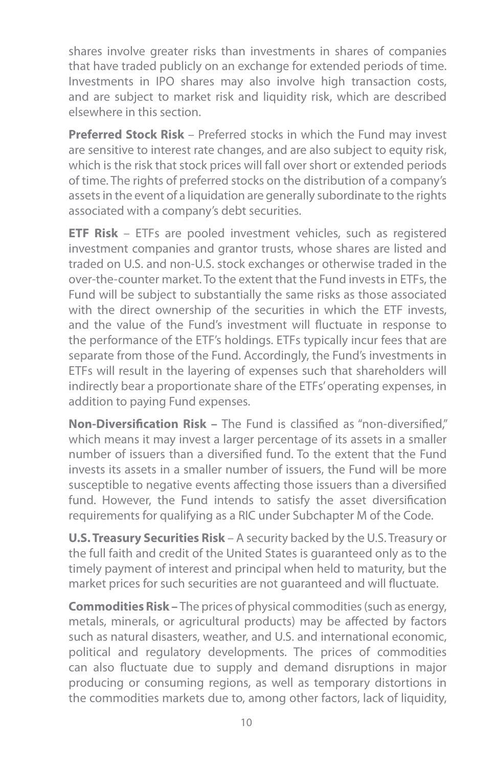shares involve greater risks than investments in shares of companies that have traded publicly on an exchange for extended periods of time. Investments in IPO shares may also involve high transaction costs, and are subject to market risk and liquidity risk, which are described elsewhere in this section.

**Preferred Stock Risk** – Preferred stocks in which the Fund may invest are sensitive to interest rate changes, and are also subject to equity risk, which is the risk that stock prices will fall over short or extended periods of time. The rights of preferred stocks on the distribution of a company's assets in the event of a liquidation are generally subordinate to the rights associated with a company's debt securities.

**ETF Risk** – ETFs are pooled investment vehicles, such as registered investment companies and grantor trusts, whose shares are listed and traded on U.S. and non-U.S. stock exchanges or otherwise traded in the over-the-counter market. To the extent that the Fund invests in ETFs, the Fund will be subject to substantially the same risks as those associated with the direct ownership of the securities in which the ETF invests, and the value of the Fund's investment will fluctuate in response to the performance of the ETF's holdings. ETFs typically incur fees that are separate from those of the Fund. Accordingly, the Fund's investments in ETFs will result in the layering of expenses such that shareholders will indirectly bear a proportionate share of the ETFs' operating expenses, in addition to paying Fund expenses.

**Non-Diversification Risk –** The Fund is classified as "non-diversified," which means it may invest a larger percentage of its assets in a smaller number of issuers than a diversified fund. To the extent that the Fund invests its assets in a smaller number of issuers, the Fund will be more susceptible to negative events affecting those issuers than a diversified fund. However, the Fund intends to satisfy the asset diversification requirements for qualifying as a RIC under Subchapter M of the Code.

**U.S. Treasury Securities Risk** – A security backed by the U.S. Treasury or the full faith and credit of the United States is guaranteed only as to the timely payment of interest and principal when held to maturity, but the market prices for such securities are not guaranteed and will fluctuate.

**Commodities Risk –** The prices of physical commodities (such as energy, metals, minerals, or agricultural products) may be affected by factors such as natural disasters, weather, and U.S. and international economic, political and regulatory developments. The prices of commodities can also fluctuate due to supply and demand disruptions in major producing or consuming regions, as well as temporary distortions in the commodities markets due to, among other factors, lack of liquidity,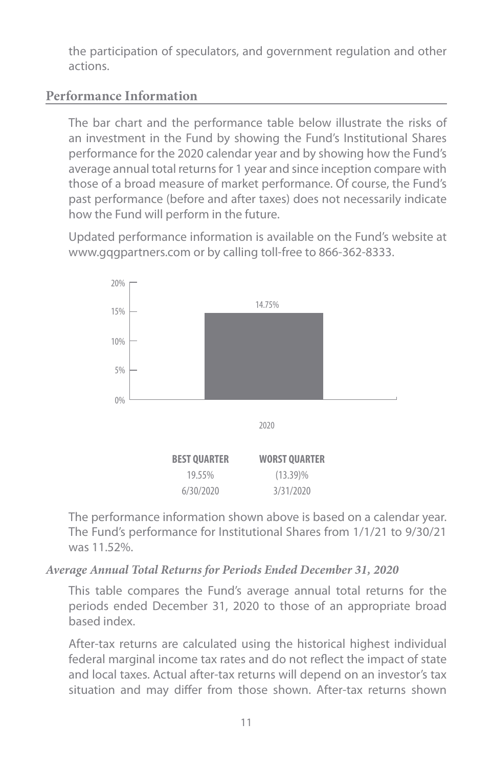the participation of speculators, and government regulation and other actions.

### **Performance Information**

The bar chart and the performance table below illustrate the risks of an investment in the Fund by showing the Fund's Institutional Shares performance for the 2020 calendar year and by showing how the Fund's average annual total returns for 1 year and since inception compare with those of a broad measure of market performance. Of course, the Fund's past performance (before and after taxes) does not necessarily indicate how the Fund will perform in the future.

Updated performance information is available on the Fund's website at www.gqgpartners.com or by calling toll-free to 866-362-8333.



The performance information shown above is based on a calendar year. The Fund's performance for Institutional Shares from 1/1/21 to 9/30/21 was 11.52%.

#### *Average Annual Total Returns for Periods Ended December 31, 2020*

This table compares the Fund's average annual total returns for the periods ended December 31, 2020 to those of an appropriate broad based index.

After-tax returns are calculated using the historical highest individual federal marginal income tax rates and do not reflect the impact of state and local taxes. Actual after-tax returns will depend on an investor's tax situation and may differ from those shown. After-tax returns shown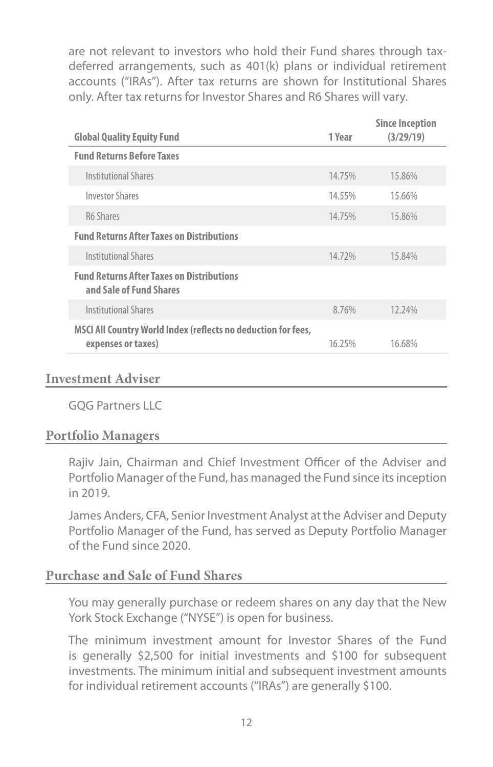are not relevant to investors who hold their Fund shares through taxdeferred arrangements, such as 401(k) plans or individual retirement accounts ("IRAs"). After tax returns are shown for Institutional Shares only. After tax returns for Investor Shares and R6 Shares will vary.

|                                                                                     |        | <b>Since Inception</b> |
|-------------------------------------------------------------------------------------|--------|------------------------|
| <b>Global Quality Equity Fund</b>                                                   | 1 Year | (3/29/19)              |
| <b>Fund Returns Before Taxes</b>                                                    |        |                        |
| <b>Institutional Shares</b>                                                         | 14.75% | 15.86%                 |
| <b>Investor Shares</b>                                                              | 14.55% | 15.66%                 |
| R6 Shares                                                                           | 14.75% | 15.86%                 |
| <b>Fund Returns After Taxes on Distributions</b>                                    |        |                        |
| <b>Institutional Shares</b>                                                         | 14.72% | 15.84%                 |
| <b>Fund Returns After Taxes on Distributions</b><br>and Sale of Fund Shares         |        |                        |
| <b>Institutional Shares</b>                                                         | 8.76%  | 12.24%                 |
| MSCI All Country World Index (reflects no deduction for fees,<br>expenses or taxes) | 16.25% | 16.68%                 |
|                                                                                     |        |                        |

#### **Investment Adviser**

GQG Partners LLC

#### **Portfolio Managers**

Rajiv Jain, Chairman and Chief Investment Officer of the Adviser and Portfolio Manager of the Fund, has managed the Fund since its inception in 2019.

James Anders, CFA, Senior Investment Analyst at the Adviser and Deputy Portfolio Manager of the Fund, has served as Deputy Portfolio Manager of the Fund since 2020.

#### **Purchase and Sale of Fund Shares**

You may generally purchase or redeem shares on any day that the New York Stock Exchange ("NYSE") is open for business.

The minimum investment amount for Investor Shares of the Fund is generally \$2,500 for initial investments and \$100 for subsequent investments. The minimum initial and subsequent investment amounts for individual retirement accounts ("IRAs") are generally \$100.